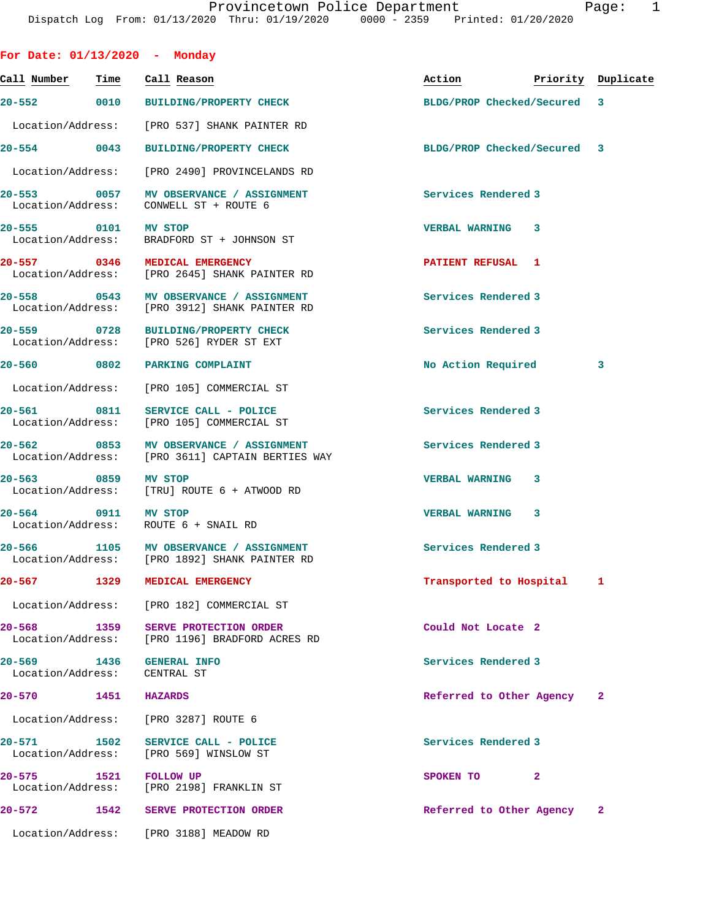| For Date: $01/13/2020$ - Monday                                                            |      |                |                                            |                             |                          |                                  |              |
|--------------------------------------------------------------------------------------------|------|----------------|--------------------------------------------|-----------------------------|--------------------------|----------------------------------|--------------|
| Call Number                                                                                | Time |                | Call Reason                                |                             |                          | Action <b>Priority</b> Duplicate |              |
| 20-552 0010 BUILDING/PROPERTY CHECK                                                        |      |                |                                            |                             |                          | BLDG/PROP Checked/Secured 3      |              |
| Location/Address:                                                                          |      |                |                                            | [PRO 537] SHANK PAINTER RD  |                          |                                  |              |
| $20 - 554$ 0043                                                                            |      |                | <b>BUILDING/PROPERTY CHECK</b>             |                             |                          | BLDG/PROP Checked/Secured 3      |              |
| Location/Address:                                                                          |      |                |                                            | [PRO 2490] PROVINCELANDS RD |                          |                                  |              |
| 20-553 0057<br>Location/Address: CONWELL ST + ROUTE 6                                      |      |                |                                            | MV OBSERVANCE / ASSIGNMENT  | Services Rendered 3      |                                  |              |
| 20-555 0101<br>Location/Address: BRADFORD ST + JOHNSON ST                                  |      | MV STOP        |                                            |                             | VERBAL WARNING 3         |                                  |              |
| 20-557 0346 MEDICAL EMERGENCY<br>Location/Address: [PRO 2645] SHANK PAINTER RD             |      |                |                                            |                             | <b>PATIENT REFUSAL 1</b> |                                  |              |
| 20-558 0543 MV OBSERVANCE / ASSIGNMENT<br>Location/Address: [PRO 3912] SHANK PAINTER RD    |      |                |                                            |                             | Services Rendered 3      |                                  |              |
| 20-559 0728 BUILDING/PROPERTY CHECK<br>Location/Address: [PRO 526] RYDER ST EXT            |      |                |                                            |                             | Services Rendered 3      |                                  |              |
| 20-560 0802 PARKING COMPLAINT                                                              |      |                |                                            |                             |                          | No Action Required               | 3            |
| Location/Address: [PRO 105] COMMERCIAL ST                                                  |      |                |                                            |                             |                          |                                  |              |
| 20-561 0811<br>Location/Address: [PRO 105] COMMERCIAL ST                                   |      |                | SERVICE CALL - POLICE                      |                             | Services Rendered 3      |                                  |              |
| 20-562 0853 MV OBSERVANCE / ASSIGNMENT<br>Location/Address: [PRO 3611] CAPTAIN BERTIES WAY |      |                |                                            |                             | Services Rendered 3      |                                  |              |
| 20-563 0859<br>Location/Address: [TRU] ROUTE 6 + ATWOOD RD                                 |      | <b>MV STOP</b> |                                            |                             | VERBAL WARNING 3         |                                  |              |
| 20-564 0911 MV STOP<br>Location/Address: ROUTE 6 + SNAIL RD                                |      |                |                                            |                             | VERBAL WARNING 3         |                                  |              |
| 20-566 1105 MV OBSERVANCE / ASSIGNMENT<br>Location/Address: [PRO 1892] SHANK PAINTER RD    |      |                |                                            |                             | Services Rendered 3      |                                  |              |
| $20 - 567$                                                                                 | 1329 |                | MEDICAL EMERGENCY                          |                             |                          | Transported to Hospital 1        |              |
| Location/Address: [PRO 182] COMMERCIAL ST                                                  |      |                |                                            |                             |                          |                                  |              |
| $20 - 568$<br>Location/Address: [PRO 1196] BRADFORD ACRES RD                               | 1359 |                | <b>SERVE PROTECTION ORDER</b>              |                             | Could Not Locate 2       |                                  |              |
| 20–569 1436<br>Location/Address:                                                           |      |                | <b>GENERAL INFO</b><br>CENTRAL ST          |                             | Services Rendered 3      |                                  |              |
| $20 - 570$                                                                                 | 1451 | <b>HAZARDS</b> |                                            |                             |                          | Referred to Other Agency         | 2            |
| Location/Address:                                                                          |      |                | [PRO 3287] ROUTE 6                         |                             |                          |                                  |              |
| 20-571 1502<br>Location/Address: [PRO 569] WINSLOW ST                                      |      |                | SERVICE CALL - POLICE                      |                             | Services Rendered 3      |                                  |              |
| $20 - 575$<br>Location/Address:                                                            | 1521 |                | <b>FOLLOW UP</b><br>[PRO 2198] FRANKLIN ST |                             | SPOKEN TO                | -2                               |              |
| $20 - 572$                                                                                 | 1542 |                | <b>SERVE PROTECTION ORDER</b>              |                             |                          | Referred to Other Agency         | $\mathbf{2}$ |
| Location/Address: [PRO 3188] MEADOW RD                                                     |      |                |                                            |                             |                          |                                  |              |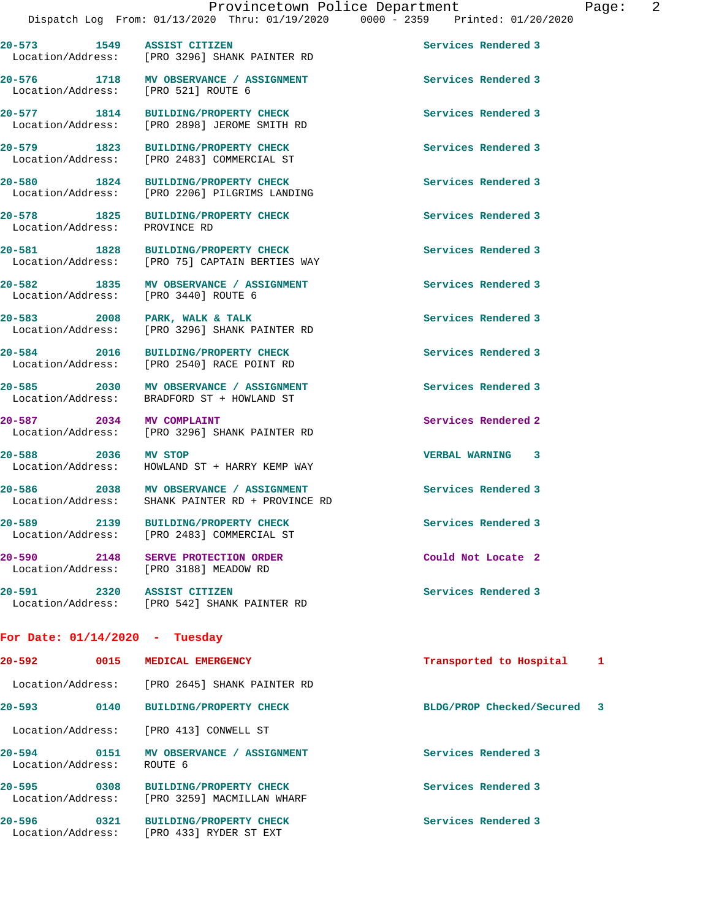**20-573 1549 ASSIST CITIZEN Services Rendered 3**  Location/Address: [PRO 3296] SHANK PAINTER RD 20-576 1718 MV OBSERVANCE / ASSIGNMENT **Services Rendered 3**  Location/Address: [PRO 521] ROUTE 6 **20-577 1814 BUILDING/PROPERTY CHECK Services Rendered 3**  Location/Address: [PRO 2898] JEROME SMITH RD

**20-579 1823 BUILDING/PROPERTY CHECK Services Rendered 3** 

Location/Address: [PRO 2206] PILGRIMS LANDING

**20-578 1825 BUILDING/PROPERTY CHECK Services Rendered 3** 

**20-581 1828 BUILDING/PROPERTY CHECK Services Rendered 3**  [PRO 75] CAPTAIN BERTIES WAY

**20-582 1835 MV OBSERVANCE / ASSIGNMENT Services Rendered 3**  Location/Address: [PRO 3440] ROUTE 6

Location/Address: [PRO 3296] SHANK PAINTER RD

Location/Address: BRADFORD ST + HOWLAND ST

**20-587** 2034 MV COMPLAINT 2008 2008 2010 Services Rendered 2<br>
Location/Address: [PRO 3296] SHANK PAINTER RD [PRO 3296] SHANK PAINTER RD

**20-586 2038 MV OBSERVANCE / ASSIGNMENT Services Rendered 3**  Location/Address: SHANK PAINTER RD + PROVINCE RD

Location/Address: [PRO 2483] COMMERCIAL ST

Location/Address: [PRO 542] SHANK PAINTER RD

## **For Date: 01/14/2020 - Tuesday**

| Location/Address:<br>[PRO 2645] SHANK PAINTER RD                                                        |                             |
|---------------------------------------------------------------------------------------------------------|-----------------------------|
| $20 - 593$<br>0140<br><b>BUILDING/PROPERTY CHECK</b>                                                    | BLDG/PROP Checked/Secured 3 |
| Location/Address:<br>[PRO 413] CONWELL ST                                                               |                             |
| $20 - 594$<br>0151<br>MV OBSERVANCE / ASSIGNMENT<br>Location/Address:<br>ROUTE 6                        | Services Rendered 3         |
| $20 - 595$<br>0308<br><b>BUILDING/PROPERTY CHECK</b><br>Location/Address:<br>[PRO 3259] MACMILLAN WHARF | Services Rendered 3         |
| $20 - 596$<br>0321<br><b>BUILDING/PROPERTY CHECK</b><br>Location/Address:<br>FRO 4331 RYDER ST EXT      | Services Rendered 3         |

Location/Address: [PRO 2483] COMMERCIAL ST

**20-580 1824 BUILDING/PROPERTY CHECK Services Rendered 3** 

Location/Address: PROVINCE RD

20-583 2008 PARK, WALK & TALK **Particular Services Rendered 3** 

**20-584 2016 BUILDING/PROPERTY CHECK Services Rendered 3**  Location/Address: [PRO 2540] RACE POINT RD

**20-585 2030 MV OBSERVANCE / ASSIGNMENT Services Rendered 3** 

Location/Address: HOWLAND ST + HARRY KEMP WAY

**20-591 2320 ASSIST CITIZEN Services Rendered 3** 

**20-588 2036 MV STOP VERBAL WARNING 3** 

**20-589 2139 BUILDING/PROPERTY CHECK Services Rendered 3** 

Location/Address: [PRO 3188] MEADOW RD

**20-590 2148 SERVE PROTECTION ORDER Could Not Locate 2**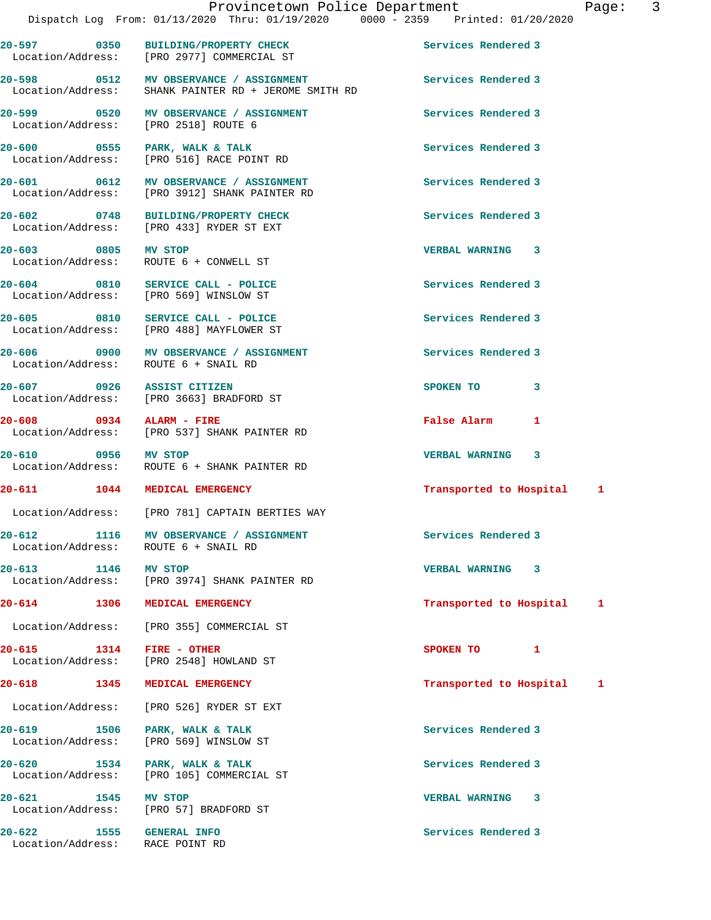**20-597 0350 BUILDING/PROPERTY CHECK Services Rendered 3**  Location/Address: [PRO 2977] COMMERCIAL ST **20-598 0512 MV OBSERVANCE / ASSIGNMENT Services Rendered 3**  Location/Address: SHANK PAINTER RD + JEROME SMITH RD **20-599 0520 MV OBSERVANCE / ASSIGNMENT Services Rendered 3**  Location/Address: [PRO 2518] ROUTE 6 **20-600 0555 PARK, WALK & TALK Services Rendered 3**  [PRO 516] RACE POINT RD **20-601 0612 MV OBSERVANCE / ASSIGNMENT Services Rendered 3**  Location/Address: [PRO 3912] SHANK PAINTER RD **20-602 0748 BUILDING/PROPERTY CHECK Services Rendered 3**  Location/Address: [PRO 433] RYDER ST EXT **20-603 0805 MV STOP VERBAL WARNING 3**  Location/Address: ROUTE 6 + CONWELL ST **20-604 0810 SERVICE CALL - POLICE Services Rendered 3**  Location/Address: [PRO 569] WINSLOW ST 20-605 0810 SERVICE CALL - POLICE **Services Rendered 3**  Location/Address: [PRO 488] MAYFLOWER ST 20-606 0900 MV OBSERVANCE / ASSIGNMENT Services Rendered 3 Location/Address: ROUTE 6 + SNAIL RD **20-607 0926 ASSIST CITIZEN SPOKEN TO 3**  Location/Address: [PRO 3663] BRADFORD ST **20-608 0934 ALARM - FIRE False Alarm 1**  [PRO 537] SHANK PAINTER RD **20-610 0956 MV STOP VERBAL WARNING 3**  ROUTE 6 + SHANK PAINTER RD **20-611 1044 MEDICAL EMERGENCY Transported to Hospital 1** Location/Address: [PRO 781] CAPTAIN BERTIES WAY **20-612 1116 MV OBSERVANCE / ASSIGNMENT Services Rendered 3**  Location/Address: ROUTE 6 + SNAIL RD **20-613 1146 MV STOP VERBAL WARNING 3**  Location/Address: [PRO 3974] SHANK PAINTER RD **20-614 1306 MEDICAL EMERGENCY Transported to Hospital 1** Location/Address: [PRO 355] COMMERCIAL ST **20-615 1314 FIRE - OTHER SPOKEN TO 1**  Location/Address: [PRO 2548] HOWLAND ST **20-618 1345 MEDICAL EMERGENCY Transported to Hospital 1** Location/Address: [PRO 526] RYDER ST EXT **20-619 1506 PARK, WALK & TALK Services Rendered 3**  Location/Address: [PRO 569] WINSLOW ST **20-620 1534 PARK, WALK & TALK Services Rendered 3**  Location/Address: [PRO 105] COMMERCIAL ST **20-621 1545 MV STOP VERBAL WARNING 3**  [PRO 57] BRADFORD ST **20-622 1555 GENERAL INFO Services Rendered 3**  Location/Address: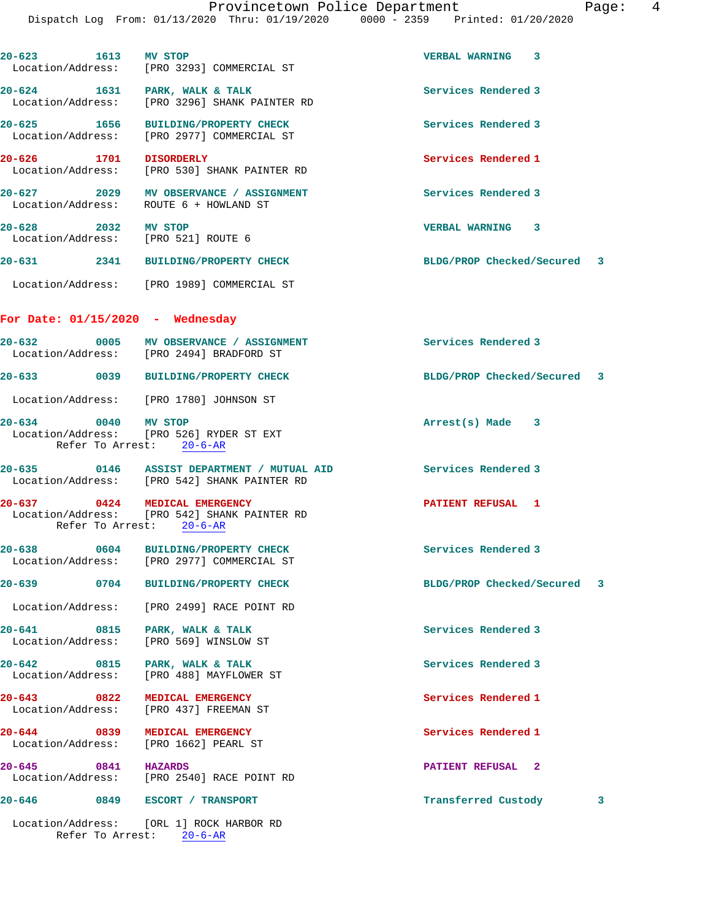| 20-623 1613 MV STOP                                  | Location/Address: [PRO 3293] COMMERCIAL ST                                                 | VERBAL WARNING 3            |   |
|------------------------------------------------------|--------------------------------------------------------------------------------------------|-----------------------------|---|
|                                                      | 20-624 1631 PARK, WALK & TALK<br>Location/Address: [PRO 3296] SHANK PAINTER RD             | Services Rendered 3         |   |
|                                                      | 20-625 1656 BUILDING/PROPERTY CHECK<br>Location/Address: [PRO 2977] COMMERCIAL ST          | Services Rendered 3         |   |
| 20-626 1701 DISORDERLY                               | Location/Address: [PRO 530] SHANK PAINTER RD                                               | Services Rendered 1         |   |
|                                                      | 20-627 2029 MV OBSERVANCE / ASSIGNMENT<br>Location/Address: ROUTE 6 + HOWLAND ST           | Services Rendered 3         |   |
| 20-628 2032 MV STOP                                  | Location/Address: [PRO 521] ROUTE 6                                                        | <b>VERBAL WARNING 3</b>     |   |
|                                                      | 20-631 2341 BUILDING/PROPERTY CHECK                                                        | BLDG/PROP Checked/Secured 3 |   |
|                                                      | Location/Address: [PRO 1989] COMMERCIAL ST                                                 |                             |   |
| For Date: $01/15/2020$ - Wednesday                   |                                                                                            |                             |   |
|                                                      | 20-632 0005 MV OBSERVANCE / ASSIGNMENT<br>Location/Address: [PRO 2494] BRADFORD ST         | Services Rendered 3         |   |
|                                                      | 20-633 0039 BUILDING/PROPERTY CHECK                                                        | BLDG/PROP Checked/Secured 3 |   |
|                                                      | Location/Address: [PRO 1780] JOHNSON ST                                                    |                             |   |
| 20-634 0040 MV STOP                                  | Location/Address: [PRO 526] RYDER ST EXT<br>Refer To Arrest: 20-6-AR                       | $Arrest(s)$ Made $3$        |   |
|                                                      | 20-635 0146 ASSIST DEPARTMENT / MUTUAL AID<br>Location/Address: [PRO 542] SHANK PAINTER RD | Services Rendered 3         |   |
| 20-637 0424 MEDICAL EMERGENCY                        | Location/Address: [PRO 542] SHANK PAINTER RD<br>Refer To Arrest: 20-6-AR                   | PATIENT REFUSAL 1           |   |
|                                                      | 20-638 0604 BUILDING/PROPERTY CHECK<br>Location/Address: [PRO 2977] COMMERCIAL ST          | Services Rendered 3         |   |
| $20 - 639$                                           | 0704 BUILDING/PROPERTY CHECK                                                               | BLDG/PROP Checked/Secured 3 |   |
|                                                      | Location/Address: [PRO 2499] RACE POINT RD                                                 |                             |   |
| 20-641 0815<br>Location/Address:                     | PARK, WALK & TALK<br>[PRO 569] WINSLOW ST                                                  | Services Rendered 3         |   |
| 0815<br>$20 - 642$<br>Location/Address:              | PARK, WALK & TALK<br>[PRO 488] MAYFLOWER ST                                                | Services Rendered 3         |   |
| 20-643 0822<br>Location/Address:                     | MEDICAL EMERGENCY<br>[PRO 437] FREEMAN ST                                                  | Services Rendered 1         |   |
| $\overline{0839}$<br>$20 - 644$<br>Location/Address: | MEDICAL EMERGENCY<br>[PRO 1662] PEARL ST                                                   | Services Rendered 1         |   |
| 20-645 0841<br>Location/Address:                     | <b>HAZARDS</b><br>[PRO 2540] RACE POINT RD                                                 | <b>PATIENT REFUSAL 2</b>    |   |
| $20 - 646$                                           | 0849 ESCORT / TRANSPORT                                                                    | Transferred Custody         | 3 |
|                                                      | Location/Address: [ORL 1] ROCK HARBOR RD                                                   |                             |   |

Refer To Arrest: 20-6-AR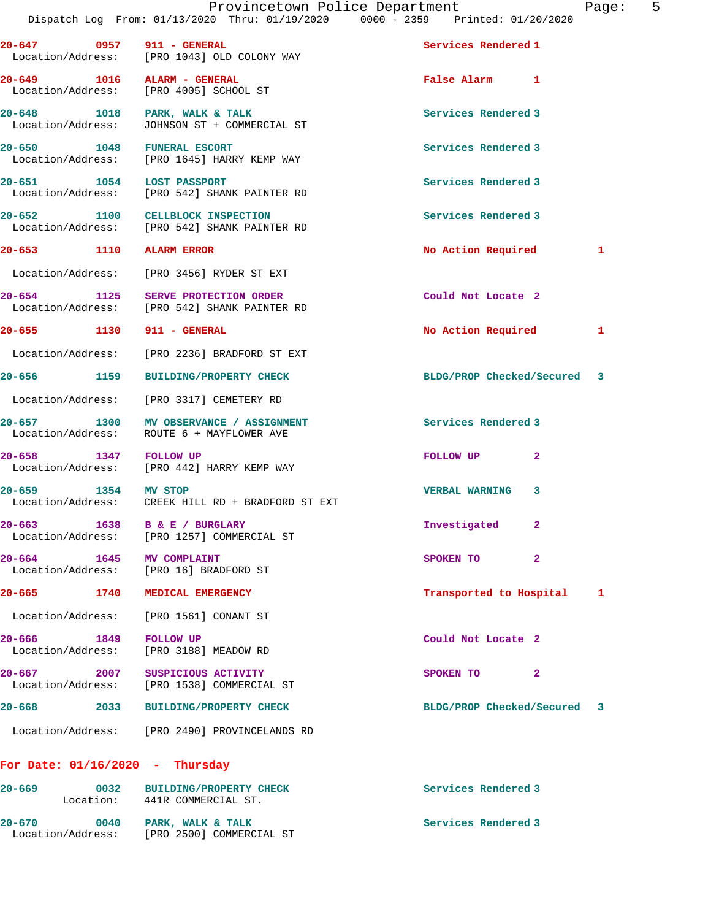| 20-647 0957 911 - GENERAL         | Location/Address: [PRO 1043] OLD COLONY WAY                                         | Services Rendered 1         |   |
|-----------------------------------|-------------------------------------------------------------------------------------|-----------------------------|---|
| 20-649 1016 ALARM - GENERAL       | Location/Address: [PRO 4005] SCHOOL ST                                              | False Alarm 1               |   |
|                                   | 20-648 1018 PARK, WALK & TALK<br>Location/Address: JOHNSON ST + COMMERCIAL ST       | Services Rendered 3         |   |
| 20-650 1048 FUNERAL ESCORT        | Location/Address: [PRO 1645] HARRY KEMP WAY                                         | Services Rendered 3         |   |
| 20-651 1054 LOST PASSPORT         | Location/Address: [PRO 542] SHANK PAINTER RD                                        | Services Rendered 3         |   |
|                                   | 20-652 1100 CELLBLOCK INSPECTION<br>Location/Address: [PRO 542] SHANK PAINTER RD    | Services Rendered 3         |   |
| 20-653 1110 ALARM ERROR           |                                                                                     | No Action Required 1        |   |
|                                   | Location/Address: [PRO 3456] RYDER ST EXT                                           |                             |   |
|                                   | 20-654 1125 SERVE PROTECTION ORDER<br>Location/Address: [PRO 542] SHANK PAINTER RD  | Could Not Locate 2          |   |
| 20-655 1130 911 - GENERAL         |                                                                                     | No Action Required          | 1 |
|                                   | Location/Address: [PRO 2236] BRADFORD ST EXT                                        |                             |   |
|                                   | 20-656 1159 BUILDING/PROPERTY CHECK                                                 | BLDG/PROP Checked/Secured 3 |   |
|                                   | Location/Address: [PRO 3317] CEMETERY RD                                            |                             |   |
|                                   | 20-657 1300 MV OBSERVANCE / ASSIGNMENT<br>Location/Address: ROUTE 6 + MAYFLOWER AVE | Services Rendered 3         |   |
| 20-658 1347 FOLLOW UP             | Location/Address: [PRO 442] HARRY KEMP WAY                                          | FOLLOW UP<br>$\mathbf{2}$   |   |
| 20-659 1354 MV STOP               | Location/Address: CREEK HILL RD + BRADFORD ST EXT                                   | 3<br><b>VERBAL WARNING</b>  |   |
| 20-663 1638 B & E / BURGLARY      | Location/Address: [PRO 1257] COMMERCIAL ST                                          | Investigated<br>2           |   |
| $20 - 664$<br>1645                | <b>MV COMPLAINT</b><br>Location/Address: [PRO 16] BRADFORD ST                       | 2<br>SPOKEN TO              |   |
| 20-665                            | 1740 MEDICAL EMERGENCY                                                              | Transported to Hospital 1   |   |
|                                   | Location/Address: [PRO 1561] CONANT ST                                              |                             |   |
| 20-666 1849<br>Location/Address:  | <b>FOLLOW UP</b><br>[PRO 3188] MEADOW RD                                            | Could Not Locate 2          |   |
| $20 - 667$ 2007                   | SUSPICIOUS ACTIVITY<br>Location/Address: [PRO 1538] COMMERCIAL ST                   | SPOKEN TO<br>$\overline{2}$ |   |
| 20-668<br>2033                    | <b>BUILDING/PROPERTY CHECK</b>                                                      | BLDG/PROP Checked/Secured 3 |   |
|                                   | Location/Address: [PRO 2490] PROVINCELANDS RD                                       |                             |   |
| For Date: $01/16/2020$ - Thursday |                                                                                     |                             |   |
| $20 - 669$<br>0032                | <b>BUILDING/PROPERTY CHECK</b><br>Location: 441R COMMERCIAL ST.                     | Services Rendered 3         |   |
| $20 - 670$<br>0040                | PARK, WALK & TALK                                                                   | Services Rendered 3         |   |

Location/Address: [PRO 2500] COMMERCIAL ST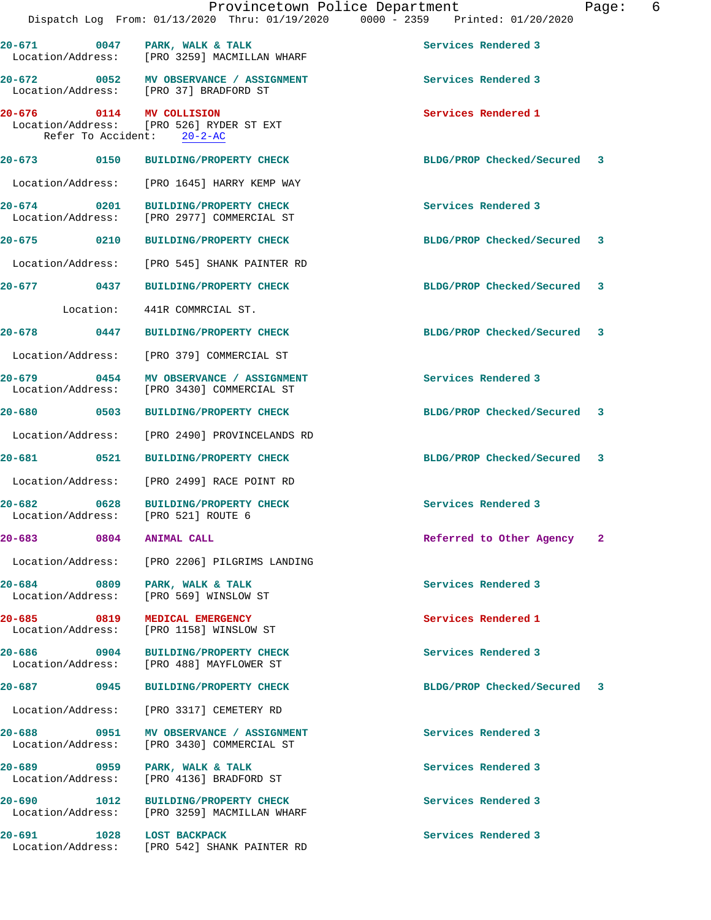|                                                                                 |                              | Provincetown Police Department<br>Dispatch Log From: 01/13/2020 Thru: 01/19/2020 0000 - 2359 Printed: 01/20/2020 |                     |                             | Page: | 6 |
|---------------------------------------------------------------------------------|------------------------------|------------------------------------------------------------------------------------------------------------------|---------------------|-----------------------------|-------|---|
|                                                                                 |                              | 20-671 0047 PARK, WALK & TALK<br>Location/Address: [PRO 3259] MACMILLAN WHARF                                    | Services Rendered 3 |                             |       |   |
|                                                                                 |                              | 20-672 0052 MV OBSERVANCE / ASSIGNMENT                                                                           | Services Rendered 3 |                             |       |   |
| Location/Address: [PRO 37] BRADFORD ST                                          |                              |                                                                                                                  |                     |                             |       |   |
| 20-676 0114 MV COLLISION<br>Location/Address: [PRO 526] RYDER ST EXT            | Refer To Accident: 20-2-AC   |                                                                                                                  | Services Rendered 1 |                             |       |   |
| 20-673 0150 BUILDING/PROPERTY CHECK                                             |                              |                                                                                                                  |                     | BLDG/PROP Checked/Secured 3 |       |   |
|                                                                                 |                              | Location/Address: [PRO 1645] HARRY KEMP WAY                                                                      |                     |                             |       |   |
| 20-674<br>Location/Address: [PRO 2977] COMMERCIAL ST                            |                              | 0201 BUILDING/PROPERTY CHECK                                                                                     | Services Rendered 3 |                             |       |   |
| 20-675 0210 BUILDING/PROPERTY CHECK                                             |                              |                                                                                                                  |                     | BLDG/PROP Checked/Secured 3 |       |   |
|                                                                                 |                              | Location/Address: [PRO 545] SHANK PAINTER RD                                                                     |                     |                             |       |   |
| 20-677 0437 BUILDING/PROPERTY CHECK                                             |                              |                                                                                                                  |                     | BLDG/PROP Checked/Secured 3 |       |   |
|                                                                                 | Location: 441R COMMRCIAL ST. |                                                                                                                  |                     |                             |       |   |
| 20-678 0447 BUILDING/PROPERTY CHECK                                             |                              |                                                                                                                  |                     | BLDG/PROP Checked/Secured 3 |       |   |
| Location/Address: [PRO 379] COMMERCIAL ST                                       |                              |                                                                                                                  |                     |                             |       |   |
|                                                                                 |                              | 20-679 0454 MV OBSERVANCE / ASSIGNMENT<br>Location/Address: [PRO 3430] COMMERCIAL ST                             | Services Rendered 3 |                             |       |   |
| 20-680 0503 BUILDING/PROPERTY CHECK                                             |                              |                                                                                                                  |                     | BLDG/PROP Checked/Secured 3 |       |   |
|                                                                                 |                              | Location/Address: [PRO 2490] PROVINCELANDS RD                                                                    |                     |                             |       |   |
| 20-681 0521 BUILDING/PROPERTY CHECK                                             |                              |                                                                                                                  |                     | BLDG/PROP Checked/Secured 3 |       |   |
| Location/Address: [PRO 2499] RACE POINT RD                                      |                              |                                                                                                                  |                     |                             |       |   |
| 20-682 0628 BUILDING/PROPERTY CHECK<br>Location/Address: [PRO 521] ROUTE 6      |                              |                                                                                                                  | Services Rendered 3 |                             |       |   |
| 20-683 0804 ANIMAL CALL                                                         |                              |                                                                                                                  |                     | Referred to Other Agency    | -2    |   |
|                                                                                 |                              | Location/Address: [PRO 2206] PILGRIMS LANDING                                                                    |                     |                             |       |   |
| 20-684 0809<br>Location/Address:                                                |                              | PARK, WALK & TALK<br>[PRO 569] WINSLOW ST                                                                        | Services Rendered 3 |                             |       |   |
| 20-685 0819<br>Location/Address:                                                |                              | MEDICAL EMERGENCY<br>[PRO 1158] WINSLOW ST                                                                       | Services Rendered 1 |                             |       |   |
| 20-686 0904 BUILDING/PROPERTY CHECK<br>Location/Address: [PRO 488] MAYFLOWER ST |                              |                                                                                                                  | Services Rendered 3 |                             |       |   |
| 20-687  0945 BUILDING/PROPERTY CHECK                                            |                              |                                                                                                                  |                     | BLDG/PROP Checked/Secured 3 |       |   |
| Location/Address:                                                               |                              | [PRO 3317] CEMETERY RD                                                                                           |                     |                             |       |   |
| Location/Address:                                                               |                              | 20-688  0951 MV OBSERVANCE / ASSIGNMENT<br>[PRO 3430] COMMERCIAL ST                                              | Services Rendered 3 |                             |       |   |
| 20–689 0959<br>Location/Address:                                                |                              | PARK, WALK & TALK<br>[PRO 4136] BRADFORD ST                                                                      | Services Rendered 3 |                             |       |   |
| 20-690 1012<br>Location/Address:                                                |                              | <b>BUILDING/PROPERTY CHECK</b><br>[PRO 3259] MACMILLAN WHARF                                                     | Services Rendered 3 |                             |       |   |
| 20-691 1028                                                                     | <b>LOST BACKPACK</b>         | Location/Address: [PRO 542] SHANK PAINTER RD                                                                     | Services Rendered 3 |                             |       |   |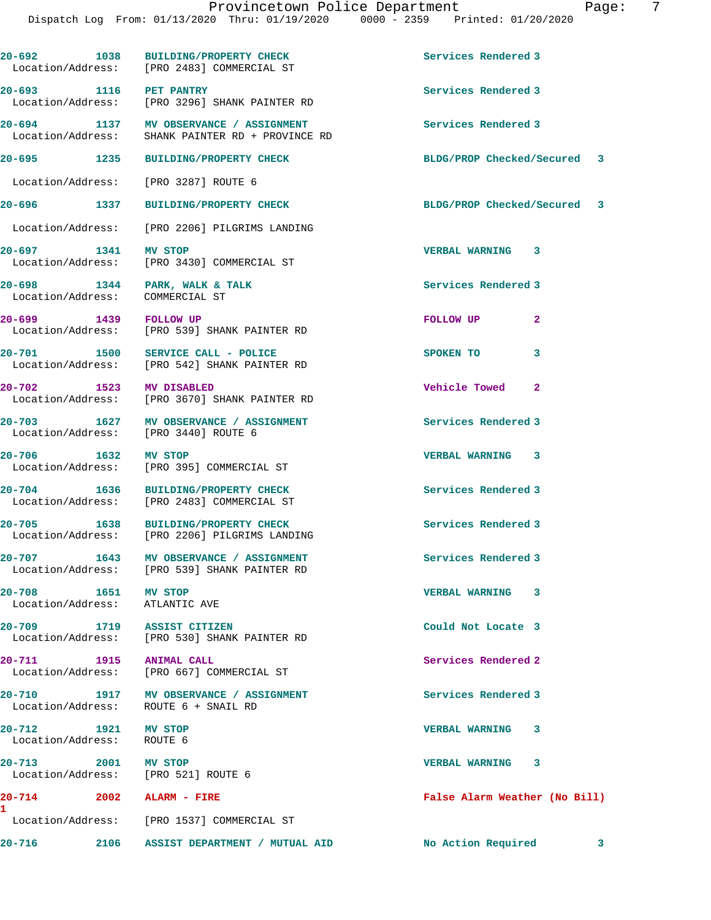**20-692 1038 BUILDING/PROPERTY CHECK Services Rendered 3**  Location/Address: [PRO 2483] COMMERCIAL ST **20-693 1116 PET PANTRY Services Rendered 3**  Location/Address: [PRO 3296] SHANK PAINTER RD **20-694 1137 MV OBSERVANCE / ASSIGNMENT Services Rendered 3**  Location/Address: SHANK PAINTER RD + PROVINCE RD **20-695 1235 BUILDING/PROPERTY CHECK BLDG/PROP Checked/Secured 3** Location/Address: [PRO 3287] ROUTE 6 **20-696 1337 BUILDING/PROPERTY CHECK BLDG/PROP Checked/Secured 3** Location/Address: [PRO 2206] PILGRIMS LANDING **20-697 1341 MV STOP VERBAL WARNING 3**  Location/Address: [PRO 3430] COMMERCIAL ST **20-698 1344 PARK, WALK & TALK Services Rendered 3**  Location/Address: COMMERCIAL ST **20-699 1439 FOLLOW UP ROLLOW UP 2**<br> **2** Location/Address: [PRO 539] SHANK PAINTER RD [PRO 539] SHANK PAINTER RD **20-701 1500 SERVICE CALL - POLICE SPOKEN TO 3**  Location/Address: [PRO 542] SHANK PAINTER RD **20-702 1523 MV DISABLED Vehicle Towed 2**  Location/Address: [PRO 3670] SHANK PAINTER RD **20-703 1627 MV OBSERVANCE / ASSIGNMENT Services Rendered 3**  Location/Address: [PRO 3440] ROUTE 6 **20-706 1632 MV STOP VERBAL WARNING 3**  Location/Address: [PRO 395] COMMERCIAL ST 20-704 1636 BUILDING/PROPERTY CHECK Services Rendered 3<br>
Location/Address: [PRO 2483] COMMERCIAL ST [PRO 2483] COMMERCIAL ST **20-705 1638 BUILDING/PROPERTY CHECK Services Rendered 3**  Location/Address: [PRO 2206] PILGRIMS LANDING **20-707 1643 MV OBSERVANCE / ASSIGNMENT Services Rendered 3**  Location/Address: [PRO 539] SHANK PAINTER RD **20-708 1651 MV STOP VERBAL WARNING 3**  Location/Address: ATLANTIC AVE **20-709 1719 ASSIST CITIZEN Could Not Locate 3**  Location/Address: [PRO 530] SHANK PAINTER RD **20-711 1915 ANIMAL CALL Services Rendered 2**  Location/Address: [PRO 667] COMMERCIAL ST **20-710 1917 MV OBSERVANCE / ASSIGNMENT Services Rendered 3**  Location/Address: ROUTE 6 + SNAIL RD **20-712 1921 MV STOP VERBAL WARNING 3**  Location/Address: ROUTE 6 **20-713 2001 MV STOP VERBAL WARNING 3**  Location/Address: [PRO 521] ROUTE 6 **20-714 2002 ALARM - FIRE False Alarm Weather (No Bill)** Location/Address: [PRO 1537] COMMERCIAL ST **20-716 2106 ASSIST DEPARTMENT / MUTUAL AID No Action Required 3**

**1**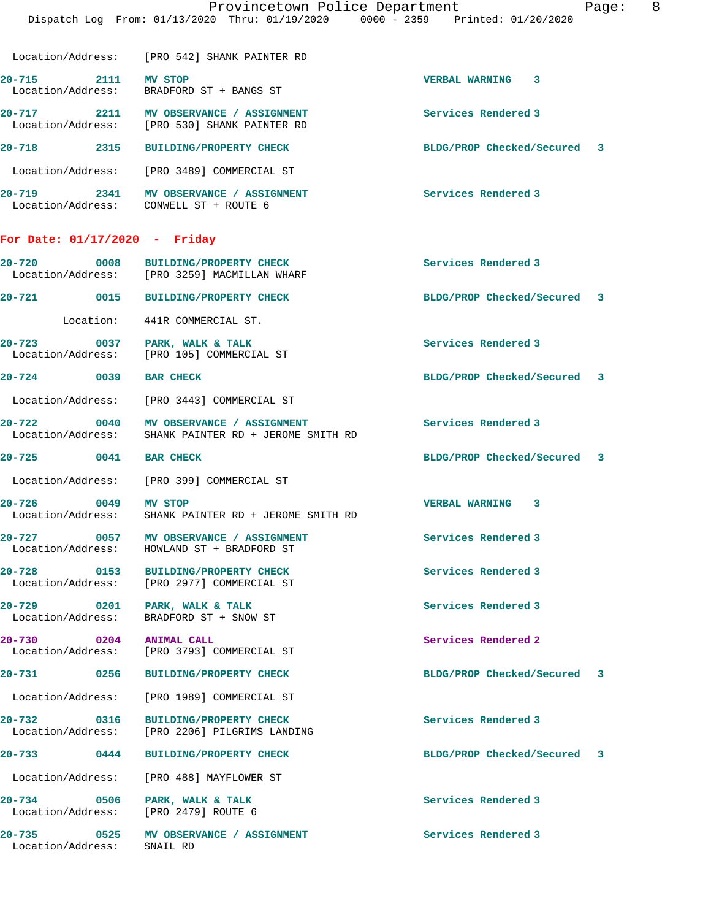| Location/Address:               |      | [PRO 542] SHANK PAINTER RD                               |                            |     |
|---------------------------------|------|----------------------------------------------------------|----------------------------|-----|
| $20 - 715$<br>Location/Address: | 2111 | MV STOP<br>BRADFORD ST + BANGS ST                        | 3<br><b>VERBAL WARNING</b> |     |
| $20 - 717$<br>Location/Address: | 2211 | MV OBSERVANCE / ASSIGNMENT<br>[PRO 530] SHANK PAINTER RD | Services Rendered 3        |     |
| $20 - 718$                      | 2315 | <b>BUILDING/PROPERTY CHECK</b>                           | BLDG/PROP Checked/Secured  | - 3 |
| Location/Address:               |      | [PRO 3489] COMMERCIAL ST                                 |                            |     |
| $20 - 719$                      | 2341 | MV OBSERVANCE<br><b>ASSIGNMENT</b>                       | Services Rendered 3        |     |

Location/Address: CONWELL ST + ROUTE 6

**For Date: 01/17/2020 - Friday**

| 20-720            | 0008 | <b>BUILDING/PROPERTY CHECK</b> | Services Rendered 3       |
|-------------------|------|--------------------------------|---------------------------|
| Location/Address: |      | [PRO 3259] MACMILLAN WHARF     |                           |
| 20-721            | 0015 | <b>BUILDING/PROPERTY CHECK</b> | BLDG/PROP Checked/Secured |

Location: 441R COMMERCIAL ST.

**20-723 0037 PARK, WALK & TALK Services Rendered 3**  Location/Address: [PRO 105] COMMERCIAL ST

## **20-724 0039 BAR CHECK BLDG/PROP Checked/Secured 3**

Location/Address: [PRO 3443] COMMERCIAL ST

20-722 0040 MV OBSERVANCE / ASSIGNMENT **Services Rendered 3 Seculiary** Services Rendered 3 SHANK PAINTER RD + JEROME SMITH RD

Location/Address: [PRO 399] COMMERCIAL ST

**20-726 0049 MV STOP VERBAL WARNING 3**  Location/Address: SHANK PAINTER RD + JEROME SMITH RD

20-727 **0057 MV OBSERVANCE / ASSIGNMENT** Services Rendered 3 Location/Address: HOWLAND ST + BRADFORD ST

**20-728 0153 BUILDING/PROPERTY CHECK Services Rendered 3**  Location/Address: [PRO 2977] COMMERCIAL ST

**20-729 0201 PARK, WALK & TALK Services Rendered 3**  Location/Address: BRADFORD ST + SNOW ST

**20-730 0204 ANIMAL CALL Services Rendered 2**  Location/Address: [PRO 3793] COMMERCIAL ST

Location/Address: [PRO 1989] COMMERCIAL ST

**20-732 0316 BUILDING/PROPERTY CHECK Services Rendered 3**  Location/Address: [PRO 2206] PILGRIMS LANDING

Location/Address: [PRO 488] MAYFLOWER ST

Location/Address: [PRO 2479] ROUTE 6

**20-735 0525 MV OBSERVANCE / ASSIGNMENT Services Rendered 3**  Location/Address: SNAIL RD

**20-725 0041 BAR CHECK BLDG/PROP Checked/Secured 3**

**20-731 0256 BUILDING/PROPERTY CHECK BLDG/PROP Checked/Secured 3**

**20-733 0444 BUILDING/PROPERTY CHECK BLDG/PROP Checked/Secured 3**

**20-734 0506 PARK, WALK & TALK Services Rendered 3**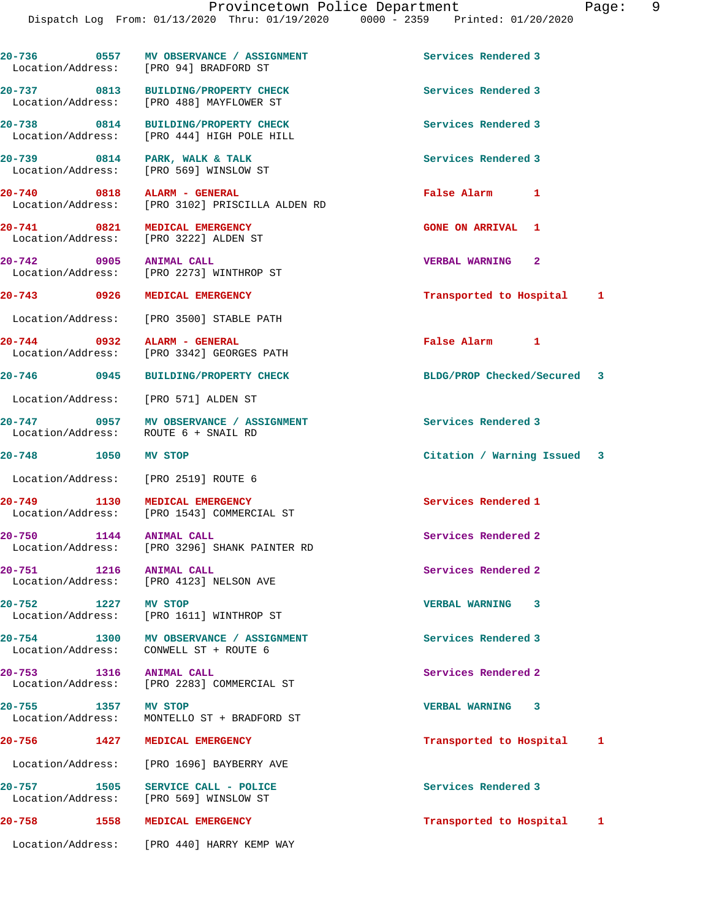**20-738 0814 BUILDING/PROPERTY CHECK Services Rendered 3**  Location/Address: [PRO 444] HIGH POLE HILL

Location/Address: [PRO 488] MAYFLOWER ST

**20-741 0821 MEDICAL EMERGENCY GONE ON ARRIVAL 1** 

Location/Address:

20-739 0814 PARK, WALK & TALK **Services Rendered 3**  Location/Address: [PRO 569] WINSLOW ST **20-740 0818 ALARM - GENERAL False Alarm 1** 

Location/Address: [PRO 3102] PRISCILLA ALDEN RD

Location/Address: [PRO 3222] ALDEN ST

**20-742 0905 ANIMAL CALL VERBAL WARNING 2**  Location/Address: [PRO 2273] WINTHROP ST

Location/Address: [PRO 3500] STABLE PATH

**20-744 0932 ALARM - GENERAL False Alarm 1**  Location/Address: [PRO 3342] GEORGES PATH

Location/Address: [PRO 571] ALDEN ST

**20-747 0957 MV OBSERVANCE / ASSIGNMENT Services Rendered 3**  ROUTE 6 + SNAIL RD

Location/Address: [PRO 2519] ROUTE 6

**20-749 1130 MEDICAL EMERGENCY Services Rendered 1** 

**20-750 1144 ANIMAL CALL Services Rendered 2**  Location/Address: [PRO 3296] SHANK PAINTER RD

**20-751 1216 ANIMAL CALL Services Rendered 2**  Location/Address: [PRO 4123] NELSON AVE

**20-752 1227 MV STOP VERBAL WARNING 3**  Location/Address: [PRO 1611] WINTHROP ST

20-754 1300 MV OBSERVANCE / ASSIGNMENT **Services Rendered 3 1300** MV OBSERVANCE / ASSIGNMENT CONWELL ST + ROUTE 6

**20-753 1316 ANIMAL CALL Services Rendered 2**  Location/Address: [PRO 2283] COMMERCIAL ST

**20-755 1357 MV STOP VERBAL WARNING 3**  Location/Address: MONTELLO ST + BRADFORD ST

Location/Address: [PRO 1696] BAYBERRY AVE

**20-757 1505 SERVICE CALL - POLICE Services Rendered 3**  Location/Address: [PRO 569] WINSLOW ST

Location/Address: [PRO 440] HARRY KEMP WAY

**20-743 0926 MEDICAL EMERGENCY Transported to Hospital 1**

**20-746 0945 BUILDING/PROPERTY CHECK BLDG/PROP Checked/Secured 3**

**20-748 1050 MV STOP Citation / Warning Issued 3**

**20-756 1427 MEDICAL EMERGENCY Transported to Hospital 1**

**20-758 1558 MEDICAL EMERGENCY Transported to Hospital 1**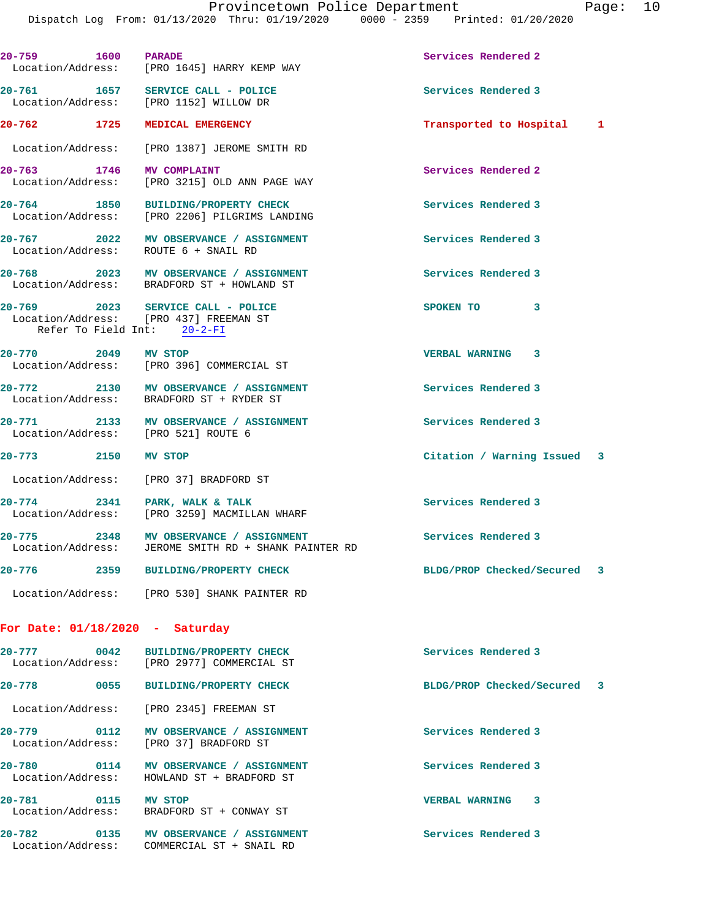**20-759 1600 PARADE Services Rendered 2**  Location/Address: [PRO 1645] HARRY KEMP WAY **20-761 1657 SERVICE CALL - POLICE Services Rendered 3**  Location/Address: [PRO 1152] WILLOW DR **20-762 1725 MEDICAL EMERGENCY Transported to Hospital 1** Location/Address: [PRO 1387] JEROME SMITH RD **20-763 1746 MV COMPLAINT Services Rendered 2**  [PRO 3215] OLD ANN PAGE WAY **20-764 1850 BUILDING/PROPERTY CHECK Services Rendered 3**  Location/Address: [PRO 2206] PILGRIMS LANDING **20-767 2022 MV OBSERVANCE / ASSIGNMENT Services Rendered 3**  Location/Address: ROUTE 6 + SNAIL RD **20-768 2023 MV OBSERVANCE / ASSIGNMENT Services Rendered 3**  Location/Address: BRADFORD ST + HOWLAND ST **20-769 2023 SERVICE CALL - POLICE SPOKEN TO 3**  Location/Address: [PRO 437] FREEMAN ST Refer To Field Int: 20-2-FI **20-770 2049 MV STOP VERBAL WARNING 3**  Location/Address: [PRO 396] COMMERCIAL ST **20-772 2130 MV OBSERVANCE / ASSIGNMENT Services Rendered 3**  Location/Address: BRADFORD ST + RYDER ST **20-771 2133 MV OBSERVANCE / ASSIGNMENT Services Rendered 3**  Location/Address: [PRO 521] ROUTE 6 **20-773 2150 MV STOP Citation / Warning Issued 3** Location/Address: [PRO 37] BRADFORD ST 20-774 2341 PARK, WALK & TALK **PARK, WALK & TALK** Services Rendered 3<br>
Location/Address: [PRO 3259] MACMILLAN WHARF [PRO 3259] MACMILLAN WHARF **20-775 2348 MV OBSERVANCE / ASSIGNMENT Services Rendered 3**  Location/Address: JEROME SMITH RD + SHANK PAINTER RD **20-776 2359 BUILDING/PROPERTY CHECK BLDG/PROP Checked/Secured 3** Location/Address: [PRO 530] SHANK PAINTER RD **For Date: 01/18/2020 - Saturday** 20-777 0042 BUILDING/PROPERTY CHECK **Services Rendered 3**  Location/Address: [PRO 2977] COMMERCIAL ST **20-778 0055 BUILDING/PROPERTY CHECK BLDG/PROP Checked/Secured 3** Location/Address: [PRO 2345] FREEMAN ST **20-779 0112 MV OBSERVANCE / ASSIGNMENT Services Rendered 3**  Location/Address: [PRO 37] BRADFORD ST **20-780 0114 MV OBSERVANCE / ASSIGNMENT Services Rendered 3**  Location/Address: HOWLAND ST + BRADFORD ST **20-781 0115 MV STOP VERBAL WARNING 3** 

Location/Address: BRADFORD ST + CONWAY ST

Location/Address: COMMERCIAL ST + SNAIL RD

20-782 **0135 MV OBSERVANCE / ASSIGNMENT** Services Rendered 3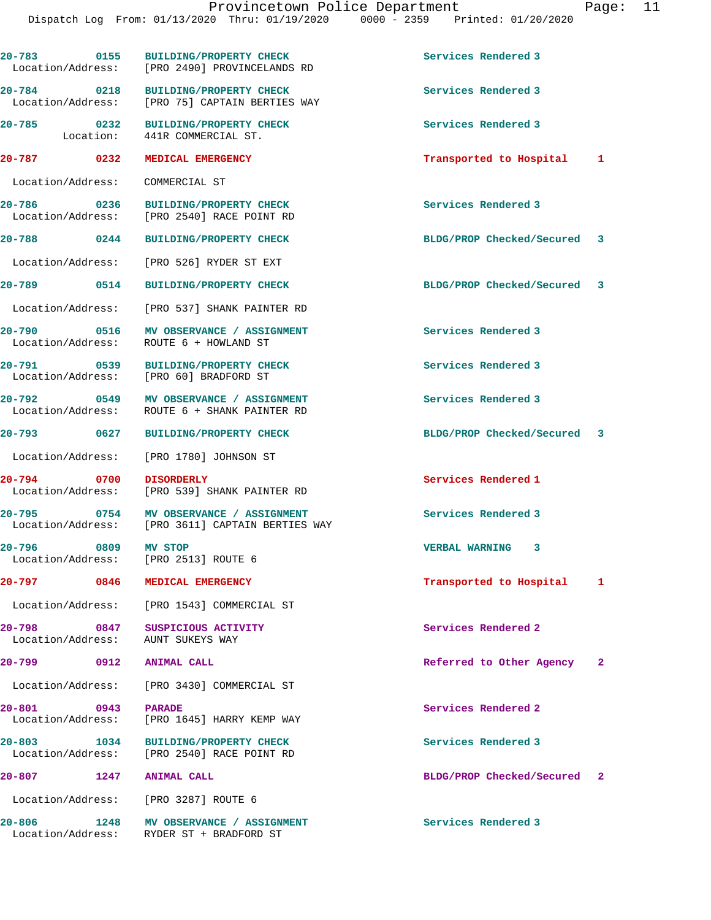| 20-783 0155                                  | <b>BUILDING/PROPERTY CHECK</b><br>Location/Address: [PRO 2490] PROVINCELANDS RD | Services Rendered 3             |  |
|----------------------------------------------|---------------------------------------------------------------------------------|---------------------------------|--|
| 20-784 0218<br>Location/Address:             | <b>BUILDING/PROPERTY CHECK</b><br>[PRO 75] CAPTAIN BERTIES WAY                  | Services Rendered 3             |  |
| $20 - 785$<br>$\overline{0232}$<br>Location: | <b>BUILDING/PROPERTY CHECK</b><br>441R COMMERCIAL ST.                           | Services Rendered 3             |  |
| 20-787 0232                                  | MEDICAL EMERGENCY                                                               | Transported to Hospital<br>1    |  |
| Location/Address:                            | COMMERCIAL ST                                                                   |                                 |  |
| $\sim$ 0236<br>20-786<br>Location/Address:   | <b>BUILDING/PROPERTY CHECK</b><br>[PRO 2540] RACE POINT RD                      | Services Rendered 3             |  |
| 20-788 0244                                  | <b>BUILDING/PROPERTY CHECK</b>                                                  | BLDG/PROP Checked/Secured 3     |  |
|                                              | Location/Address: [PRO 526] RYDER ST EXT                                        |                                 |  |
| 20-789 0514                                  | <b>BUILDING/PROPERTY CHECK</b>                                                  | BLDG/PROP Checked/Secured 3     |  |
|                                              | Location/Address: [PRO 537] SHANK PAINTER RD                                    |                                 |  |
| 0516<br>$20 - 790$<br>Location/Address:      | MV OBSERVANCE / ASSIGNMENT<br>ROUTE 6 + HOWLAND ST                              | Services Rendered 3             |  |
| 20-791 0539<br>Location/Address:             | <b>BUILDING/PROPERTY CHECK</b><br>[PRO 60] BRADFORD ST                          | Services Rendered 3             |  |
| 0549<br>$20 - 792$<br>Location/Address:      | MV OBSERVANCE / ASSIGNMENT<br>ROUTE 6 + SHANK PAINTER RD                        | Services Rendered 3             |  |
|                                              | <b>BUILDING/PROPERTY CHECK</b>                                                  | BLDG/PROP Checked/Secured 3     |  |
| Location/Address:                            | [PRO 1780] JOHNSON ST                                                           |                                 |  |
| 20-794 0700<br>Location/Address:             | <b>DISORDERLY</b><br>[PRO 539] SHANK PAINTER RD                                 | Services Rendered 1             |  |
| 0754<br>20-795                               | MV OBSERVANCE / ASSIGNMENT<br>Location/Address: [PRO 3611] CAPTAIN BERTIES WAY  | Services Rendered 3             |  |
| 0809<br>20-796<br>Location/Address:          | <b>MV STOP</b><br>[PRO 2513] ROUTE 6                                            | <b>VERBAL WARNING</b><br>3      |  |
| 20-797<br>0846                               | MEDICAL EMERGENCY                                                               | Transported to Hospital<br>1    |  |
| Location/Address:                            | [PRO 1543] COMMERCIAL ST                                                        |                                 |  |
| $20 - 798$<br>0847<br>Location/Address:      | SUSPICIOUS ACTIVITY<br>AUNT SUKEYS WAY                                          | Services Rendered 2             |  |
| 20-799<br>0912                               | <b>ANIMAL CALL</b>                                                              | Referred to Other Agency<br>-2  |  |
| Location/Address:                            | [PRO 3430] COMMERCIAL ST                                                        |                                 |  |
| 20-801 0943<br>Location/Address:             | <b>PARADE</b><br>[PRO 1645] HARRY KEMP WAY                                      | Services Rendered 2             |  |
| $20 - 803$<br>1034<br>Location/Address:      | <b>BUILDING/PROPERTY CHECK</b><br>[PRO 2540] RACE POINT RD                      | Services Rendered 3             |  |
| 20-807<br>1247                               | <b>ANIMAL CALL</b>                                                              | BLDG/PROP Checked/Secured<br>-2 |  |
| Location/Address:                            | [PRO 3287] ROUTE 6                                                              |                                 |  |
| $20 - 806$<br>1248<br>Location/Address:      | MV OBSERVANCE / ASSIGNMENT<br>RYDER ST + BRADFORD ST                            | Services Rendered 3             |  |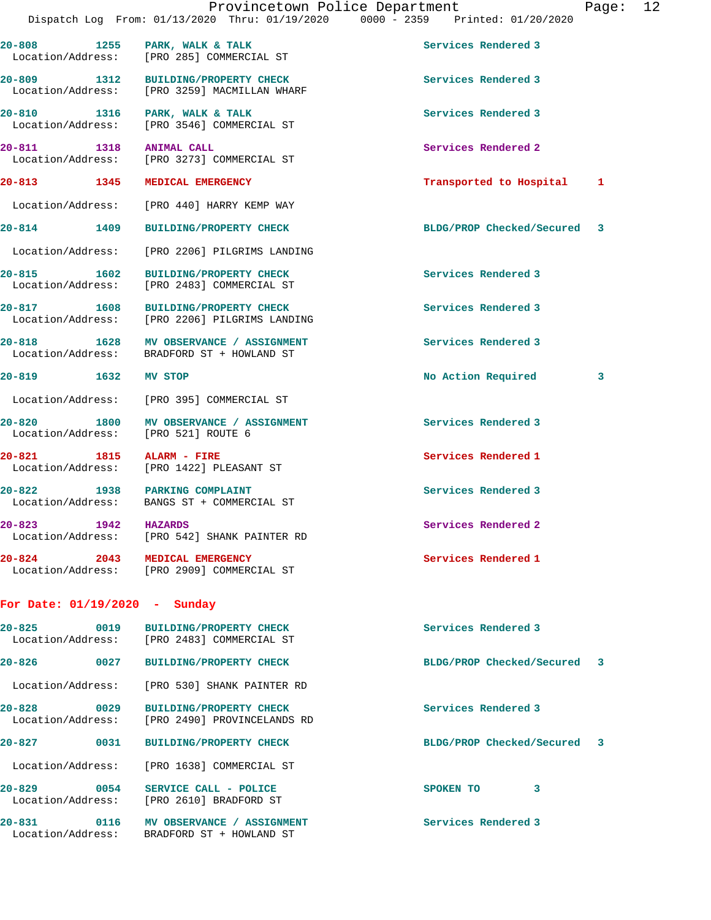| $20 - 813$ | 1345 | MEDICAL EMERGENCY                                                              | Transported to Hospital                                                        | 1     |    |
|------------|------|--------------------------------------------------------------------------------|--------------------------------------------------------------------------------|-------|----|
| 20-811     | 1318 | <b>ANIMAL CALL</b><br>Location/Address: [PRO 3273] COMMERCIAL ST               | Services Rendered 2                                                            |       |    |
| $20 - 810$ | 1316 | PARK, WALK & TALK<br>Location/Address: [PRO 3546] COMMERCIAL ST                | Services Rendered 3                                                            |       |    |
| $20 - 809$ | 1312 | <b>BUILDING/PROPERTY CHECK</b><br>Location/Address: [PRO 3259] MACMILLAN WHARF | Services Rendered 3                                                            |       |    |
| $20 - 808$ | 1255 | PARK, WALK & TALK<br>Location/Address: [PRO 285] COMMERCIAL ST                 | Services Rendered 3                                                            |       |    |
|            |      | Provincetown Police Department                                                 | Dispatch Log From: 01/13/2020 Thru: 01/19/2020 0000 - 2359 Printed: 01/20/2020 | Page: | 12 |

**20-814 1409 BUILDING/PROPERTY CHECK BLDG/PROP Checked/Secured 3**

**20-815 1602 BUILDING/PROPERTY CHECK Services Rendered 3** 

 Location/Address: [PRO 2483] COMMERCIAL ST **20-817 1608 BUILDING/PROPERTY CHECK Services Rendered 3**  Location/Address: [PRO 2206] PILGRIMS LANDING

**20-818 1628 MV OBSERVANCE / ASSIGNMENT Services Rendered 3**  Location/Address: BRADFORD ST + HOWLAND ST

## **20-819 1632 MV STOP No Action Required 3**

Location/Address: [PRO 440] HARRY KEMP WAY

Location/Address: [PRO 2206] PILGRIMS LANDING

Location/Address: [PRO 395] COMMERCIAL ST

20-820 1800 MV OBSERVANCE / ASSIGNMENT **Services Rendered 3** Location/Address: [PRO 521] ROUTE 6

**20-821 1815 ALARM - FIRE Services Rendered 1**  Location/Address: [PRO 1422] PLEASANT ST

20-822 1938 PARKING COMPLAINT **Services Rendered 3** Location/Address: BANGS ST + COMMERCIAL ST

**20-823 1942 HAZARDS Services Rendered 2**  Location/Address: [PRO 542] SHANK PAINTER RD

**20-824 2043 MEDICAL EMERGENCY Services Rendered 1**  Location/Address: [PRO 2909] COMMERCIAL ST

## **For Date: 01/19/2020 - Sunday**

| $20 - 825$<br>0019                    | <b>BUILDING/PROPERTY CHECK</b><br>Location/Address: [PRO 2483] COMMERCIAL ST    | Services Rendered 3         |  |
|---------------------------------------|---------------------------------------------------------------------------------|-----------------------------|--|
| $20 - 826$<br>0027                    | <b>BUILDING/PROPERTY CHECK</b>                                                  | BLDG/PROP Checked/Secured 3 |  |
|                                       | Location/Address: [PRO 530] SHANK PAINTER RD                                    |                             |  |
| $20 - 828$<br>0029                    | <b>BUILDING/PROPERTY CHECK</b><br>Location/Address: [PRO 2490] PROVINCELANDS RD | Services Rendered 3         |  |
| $20 - 827$<br>0031                    | <b>BUILDING/PROPERTY CHECK</b>                                                  | BLDG/PROP Checked/Secured 3 |  |
|                                       | Location/Address: [PRO 1638] COMMERCIAL ST                                      |                             |  |
| $20 - 829$<br>0054                    | SERVICE CALL - POLICE<br>Location/Address: [PRO 2610] BRADFORD ST               | 3<br><b>SPOKEN TO</b>       |  |
| 20-831<br>0116<br>  Location/Address: | MV OBSERVANCE / ASSIGNMENT<br>BRADFORD ST + HOWLAND ST                          | Services Rendered 3         |  |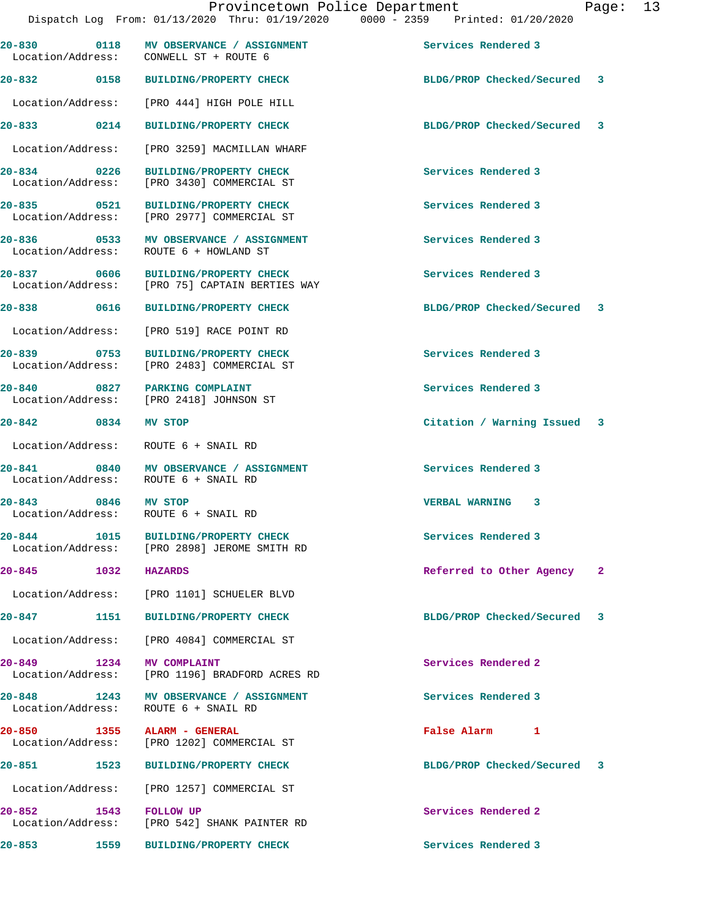|                       | Dispatch Log From: 01/13/2020 Thru: 01/19/2020 0000 - 2359 Printed: 01/20/2020        |                             |              |
|-----------------------|---------------------------------------------------------------------------------------|-----------------------------|--------------|
|                       | 20-830 0118 MV OBSERVANCE / ASSIGNMENT<br>Location/Address: CONWELL ST + ROUTE 6      | Services Rendered 3         |              |
|                       | 20-832 0158 BUILDING/PROPERTY CHECK                                                   | BLDG/PROP Checked/Secured 3 |              |
|                       | Location/Address: [PRO 444] HIGH POLE HILL                                            |                             |              |
|                       | 20-833 0214 BUILDING/PROPERTY CHECK                                                   | BLDG/PROP Checked/Secured 3 |              |
|                       | Location/Address: [PRO 3259] MACMILLAN WHARF                                          |                             |              |
|                       | 20-834 0226 BUILDING/PROPERTY CHECK<br>Location/Address: [PRO 3430] COMMERCIAL ST     | Services Rendered 3         |              |
|                       | 20-835 0521 BUILDING/PROPERTY CHECK<br>Location/Address: [PRO 2977] COMMERCIAL ST     | Services Rendered 3         |              |
|                       | 20-836 0533 MV OBSERVANCE / ASSIGNMENT<br>Location/Address: ROUTE 6 + HOWLAND ST      | Services Rendered 3         |              |
|                       | 20-837 0606 BUILDING/PROPERTY CHECK<br>Location/Address: [PRO 75] CAPTAIN BERTIES WAY | Services Rendered 3         |              |
| 20-838 0616           | <b>BUILDING/PROPERTY CHECK</b>                                                        | BLDG/PROP Checked/Secured 3 |              |
|                       | Location/Address: [PRO 519] RACE POINT RD                                             |                             |              |
|                       | 20-839 0753 BUILDING/PROPERTY CHECK<br>Location/Address: [PRO 2483] COMMERCIAL ST     | Services Rendered 3         |              |
|                       | 20-840 0827 PARKING COMPLAINT<br>Location/Address: [PRO 2418] JOHNSON ST              | Services Rendered 3         |              |
| 20-842 0834           | <b>MV STOP</b>                                                                        | Citation / Warning Issued 3 |              |
|                       | Location/Address: ROUTE 6 + SNAIL RD                                                  |                             |              |
|                       | 20-841 0840 MV OBSERVANCE / ASSIGNMENT<br>Location/Address: ROUTE 6 + SNAIL RD        | Services Rendered 3         |              |
| 20-843 0846 MV STOP   | Location/Address: ROUTE 6 + SNAIL RD                                                  | <b>VERBAL WARNING 3</b>     |              |
|                       | 20-844 1015 BUILDING/PROPERTY CHECK<br>Location/Address: [PRO 2898] JEROME SMITH RD   | Services Rendered 3         |              |
| 20-845 1032 HAZARDS   |                                                                                       | Referred to Other Agency    | $\mathbf{2}$ |
|                       | Location/Address: [PRO 1101] SCHUELER BLVD                                            |                             |              |
|                       | 20-847 1151 BUILDING/PROPERTY CHECK                                                   | BLDG/PROP Checked/Secured 3 |              |
|                       | Location/Address: [PRO 4084] COMMERCIAL ST                                            |                             |              |
| 20-849 1234           | <b>MV COMPLAINT</b><br>Location/Address: [PRO 1196] BRADFORD ACRES RD                 | Services Rendered 2         |              |
| 20-848 1243           | MV OBSERVANCE / ASSIGNMENT<br>Location/Address: ROUTE 6 + SNAIL RD                    | Services Rendered 3         |              |
| 20-850                | 1355 ALARM - GENERAL<br>Location/Address: [PRO 1202] COMMERCIAL ST                    | False Alarm 1               |              |
|                       | 20-851 1523 BUILDING/PROPERTY CHECK                                                   | BLDG/PROP Checked/Secured   | 3            |
|                       | Location/Address: [PRO 1257] COMMERCIAL ST                                            |                             |              |
| 20-852 1543 FOLLOW UP | Location/Address: [PRO 542] SHANK PAINTER RD                                          | Services Rendered 2         |              |
|                       | 20-853 1559 BUILDING/PROPERTY CHECK                                                   | Services Rendered 3         |              |